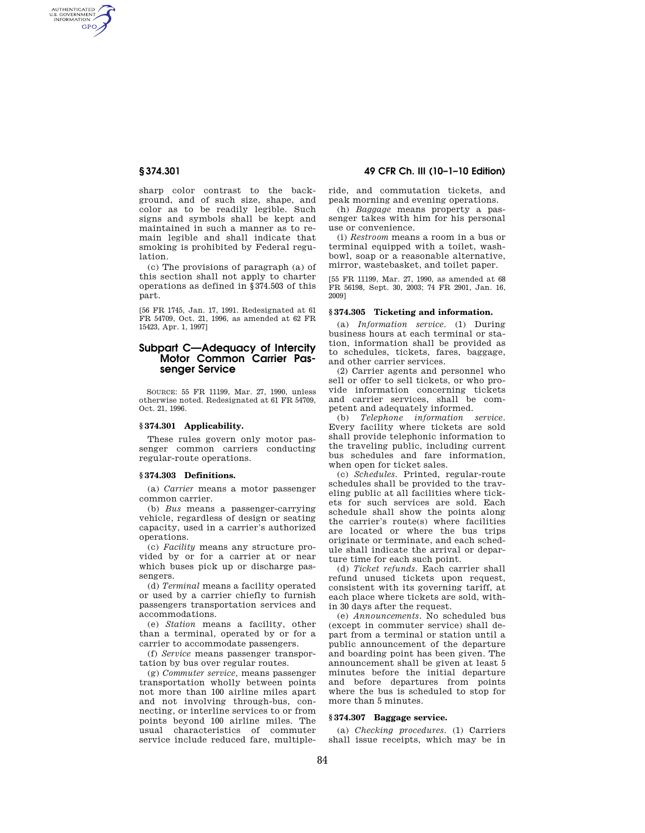AUTHENTICATED<br>U.S. GOVERNMENT<br>INFORMATION **GPO** 

> sharp color contrast to the background, and of such size, shape, and color as to be readily legible. Such signs and symbols shall be kept and maintained in such a manner as to remain legible and shall indicate that smoking is prohibited by Federal regulation.

(c) The provisions of paragraph (a) of this section shall not apply to charter operations as defined in §374.503 of this part.

[56 FR 1745, Jan. 17, 1991. Redesignated at 61 FR 54709, Oct. 21, 1996, as amended at 62 FR 15423, Apr. 1, 1997]

# **Subpart C—Adequacy of Intercity Motor Common Carrier Passenger Service**

SOURCE: 55 FR 11199, Mar. 27, 1990, unless otherwise noted. Redesignated at 61 FR 54709, Oct. 21, 1996.

## **§ 374.301 Applicability.**

These rules govern only motor passenger common carriers conducting regular-route operations.

## **§ 374.303 Definitions.**

(a) *Carrier* means a motor passenger common carrier.

(b) *Bus* means a passenger-carrying vehicle, regardless of design or seating capacity, used in a carrier's authorized operations.

(c) *Facility* means any structure provided by or for a carrier at or near which buses pick up or discharge passengers.

(d) *Terminal* means a facility operated or used by a carrier chiefly to furnish passengers transportation services and accommodations.

(e) *Station* means a facility, other than a terminal, operated by or for a carrier to accommodate passengers.

(f) *Service* means passenger transportation by bus over regular routes.

(g) *Commuter service,* means passenger transportation wholly between points not more than 100 airline miles apart and not involving through-bus, connecting, or interline services to or from points beyond 100 airline miles. The usual characteristics of commuter service include reduced fare, multiple-

# **§ 374.301 49 CFR Ch. III (10–1–10 Edition)**

ride, and commutation tickets, and peak morning and evening operations.

(h) *Baggage* means property a passenger takes with him for his personal use or convenience.

(i) *Restroom* means a room in a bus or terminal equipped with a toilet, washbowl, soap or a reasonable alternative, mirror, wastebasket, and toilet paper.

[55 FR 11199, Mar. 27, 1990, as amended at 68 FR 56198, Sept. 30, 2003; 74 FR 2901, Jan. 16, 2009]

# **§ 374.305 Ticketing and information.**

(a) *Information service.* (1) During business hours at each terminal or station, information shall be provided as to schedules, tickets, fares, baggage, and other carrier services.

(2) Carrier agents and personnel who sell or offer to sell tickets, or who provide information concerning tickets and carrier services, shall be competent and adequately informed.

(b) *Telephone information service.*  Every facility where tickets are sold shall provide telephonic information to the traveling public, including current bus schedules and fare information, when open for ticket sales.

(c) *Schedules.* Printed, regular-route schedules shall be provided to the traveling public at all facilities where tickets for such services are sold. Each schedule shall show the points along the carrier's route(s) where facilities are located or where the bus trips originate or terminate, and each schedule shall indicate the arrival or departure time for each such point.

(d) *Ticket refunds.* Each carrier shall refund unused tickets upon request, consistent with its governing tariff, at each place where tickets are sold, within 30 days after the request.

(e) *Announcements.* No scheduled bus (except in commuter service) shall depart from a terminal or station until a public announcement of the departure and boarding point has been given. The announcement shall be given at least 5 minutes before the initial departure and before departures from points where the bus is scheduled to stop for more than 5 minutes.

### **§ 374.307 Baggage service.**

(a) *Checking procedures.* (1) Carriers shall issue receipts, which may be in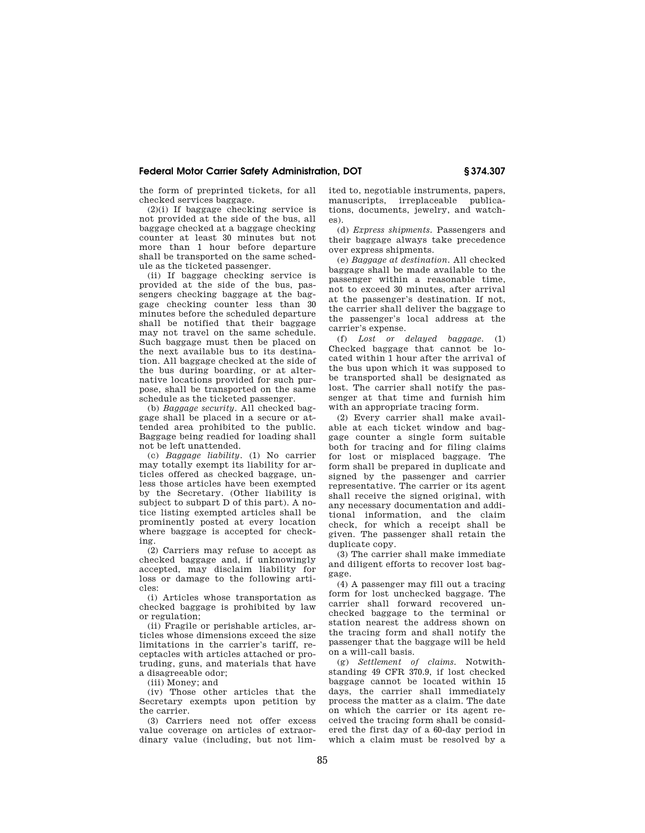# **Federal Motor Carrier Safety Administration, DOT § 374.307**

the form of preprinted tickets, for all checked services baggage.

(2)(i) If baggage checking service is not provided at the side of the bus, all baggage checked at a baggage checking counter at least 30 minutes but not more than 1 hour before departure shall be transported on the same schedule as the ticketed passenger.

(ii) If baggage checking service is provided at the side of the bus, passengers checking baggage at the baggage checking counter less than 30 minutes before the scheduled departure shall be notified that their baggage may not travel on the same schedule. Such baggage must then be placed on the next available bus to its destination. All baggage checked at the side of the bus during boarding, or at alternative locations provided for such purpose, shall be transported on the same schedule as the ticketed passenger.

(b) *Baggage security.* All checked baggage shall be placed in a secure or attended area prohibited to the public. Baggage being readied for loading shall not be left unattended.

(c) *Baggage liability.* (1) No carrier may totally exempt its liability for articles offered as checked baggage, unless those articles have been exempted by the Secretary. (Other liability is subject to subpart D of this part). A notice listing exempted articles shall be prominently posted at every location where baggage is accepted for checking.

(2) Carriers may refuse to accept as checked baggage and, if unknowingly accepted, may disclaim liability for loss or damage to the following articles:

(i) Articles whose transportation as checked baggage is prohibited by law or regulation;

(ii) Fragile or perishable articles, articles whose dimensions exceed the size limitations in the carrier's tariff, receptacles with articles attached or protruding, guns, and materials that have a disagreeable odor;

(iii) Money; and

(iv) Those other articles that the Secretary exempts upon petition by the carrier.

(3) Carriers need not offer excess value coverage on articles of extraordinary value (including, but not limited to, negotiable instruments, papers, manuscripts, irreplaceable publications, documents, jewelry, and watches).

(d) *Express shipments.* Passengers and their baggage always take precedence over express shipments.

(e) *Baggage at destination.* All checked baggage shall be made available to the passenger within a reasonable time, not to exceed 30 minutes, after arrival at the passenger's destination. If not, the carrier shall deliver the baggage to the passenger's local address at the carrier's expense.

(f) *Lost or delayed baggage.* (1) Checked baggage that cannot be located within 1 hour after the arrival of the bus upon which it was supposed to be transported shall be designated as lost. The carrier shall notify the passenger at that time and furnish him with an appropriate tracing form.

(2) Every carrier shall make available at each ticket window and baggage counter a single form suitable both for tracing and for filing claims for lost or misplaced baggage. The form shall be prepared in duplicate and signed by the passenger and carrier representative. The carrier or its agent shall receive the signed original, with any necessary documentation and additional information, and the claim check, for which a receipt shall be given. The passenger shall retain the duplicate copy.

(3) The carrier shall make immediate and diligent efforts to recover lost baggage.

(4) A passenger may fill out a tracing form for lost unchecked baggage. The carrier shall forward recovered unchecked baggage to the terminal or station nearest the address shown on the tracing form and shall notify the passenger that the baggage will be held on a will-call basis.

(g) *Settlement of claims.* Notwithstanding 49 CFR 370.9, if lost checked baggage cannot be located within 15 days, the carrier shall immediately process the matter as a claim. The date on which the carrier or its agent received the tracing form shall be considered the first day of a 60-day period in which a claim must be resolved by a